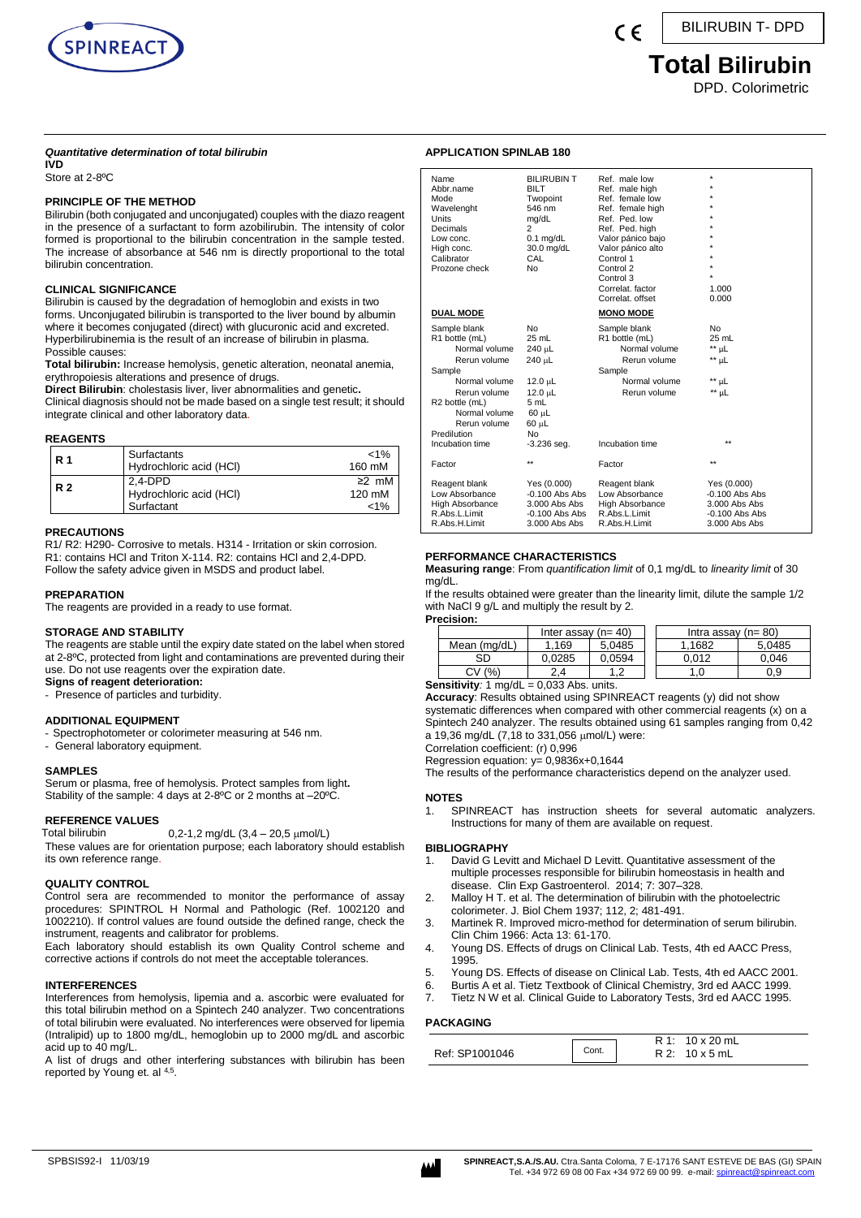

 $\epsilon$ 

BILIRUBIN T- DPD

# **Total Bilirubin**

DPD. Colorimetric

#### *Quantitative determination of total bilirubin*

**IVD** Store at 2-8ºC

### **PRINCIPLE OF THE METHOD**

Bilirubin (both conjugated and unconjugated) couples with the diazo reagent in the presence of a surfactant to form azobilirubin. The intensity of color formed is proportional to the bilirubin concentration in the sample tested. The increase of absorbance at 546 nm is directly proportional to the total bilirubin concentration.

## **CLINICAL SIGNIFICANCE**

Bilirubin is caused by the degradation of hemoglobin and exists in two forms. Unconjugated bilirubin is transported to the liver bound by albumin where it becomes conjugated (direct) with glucuronic acid and excreted. Hyperbilirubinemia is the result of an increase of bilirubin in plasma. Possible causes:

**Total bilirubin:** Increase hemolysis, genetic alteration, neonatal anemia, erythropoiesis alterations and presence of drugs.

**Direct Bilirubin**: cholestasis liver, liver abnormalities and genetic**.** Clinical diagnosis should not be made based on a single test result; it should integrate clinical and other laboratory data.

#### **REAGENTS**

| R 1       | Surfactants<br>Hydrochloric acid (HCI)             | $< 1\%$<br>160 mM          |
|-----------|----------------------------------------------------|----------------------------|
| <b>R2</b> | $2.4-DPD$<br>Hydrochloric acid (HCI)<br>Surfactant | $\geq$ mM<br>120 mM<br>1%> |

## **PRECAUTIONS**

R1/ R2: H290- Corrosive to metals. H314 - Irritation or skin corrosion. R1: contains HCl and Triton X-114. R2: contains HCl and 2,4-DPD. Follow the safety advice given in MSDS and product label.

#### **PREPARATION**

The reagents are provided in a ready to use format.

#### **STORAGE AND STABILITY**

The reagents are stable until the expiry date stated on the label when stored at 2-8ºC, protected from light and contaminations are prevented during their use. Do not use reagents over the expiration date.

**Signs of reagent deterioration:**

- Presence of particles and turbidity.

## **ADDITIONAL EQUIPMENT**

Spectrophotometer or colorimeter measuring at 546 nm.

- General laboratory equipment.

#### **SAMPLES**

Serum or plasma, free of hemolysis. Protect samples from light**.** Stability of the sample: 4 days at 2-8ºC or 2 months at –20ºC.

# **REFERENCE VALUES**

 $0.2-1.2$  mg/dL  $(3.4 - 20.5 \text{ µmol/L})$ These values are for orientation purpose; each laboratory should establish its own reference range.

## **QUALITY CONTROL**

Control sera are recommended to monitor the performance of assay procedures: SPINTROL H Normal and Pathologic (Ref. 1002120 and 1002210). If control values are found outside the defined range, check the instrument, reagents and calibrator for problems.

Each laboratory should establish its own Quality Control scheme and corrective actions if controls do not meet the acceptable tolerances.

#### **INTERFERENCES**

Interferences from hemolysis, lipemia and a. ascorbic were evaluated for this total bilirubin method on a Spintech 240 analyzer. Two concentrations of total bilirubin were evaluated. No interferences were observed for lipemia (Intralipid) up to 1800 mg/dL, hemoglobin up to 2000 mg/dL and ascorbic acid up to 40 mg/L.

A list of drugs and other interfering substances with bilirubin has been reported by Young et. al 4,5.

### **APPLICATION SPINLAB 180**

| Name<br>Abbr.name<br>Mode<br>Wavelenght<br>Units<br>Decimals<br>Low conc.<br>High conc.<br>Calibrator<br>Prozone check                                                                          | <b>BILIRUBIN T</b><br><b>BILT</b><br>Twopoint<br>546 nm<br>mg/dL<br>$\overline{c}$<br>$0.1$ mg/dL<br>30.0 mg/dL<br>CAL<br>No | Ref. male low<br>Ref. male high<br>Ref. female low<br>Ref. female high<br>Ref. Ped. low<br>Ref. Ped. high<br>Valor pánico bajo<br>Valor pánico alto<br>Control 1<br>Control 2<br>Control 3<br>Correlat, factor<br>Correlat, offset | $\star$<br>$\star$<br>1.000<br>0.000                                                  |
|-------------------------------------------------------------------------------------------------------------------------------------------------------------------------------------------------|------------------------------------------------------------------------------------------------------------------------------|------------------------------------------------------------------------------------------------------------------------------------------------------------------------------------------------------------------------------------|---------------------------------------------------------------------------------------|
| <b>DUAL MODE</b>                                                                                                                                                                                |                                                                                                                              | <b>MONO MODE</b>                                                                                                                                                                                                                   |                                                                                       |
| Sample blank<br>R1 bottle (mL)<br>Normal volume<br>Rerun volume<br>Sample<br>Normal volume<br>Rerun volume<br>R2 bottle (mL)<br>Normal volume<br>Rerun volume<br>Predilution<br>Incubation time | No<br>25 mL<br>240 µL<br>240 µL<br>12.0 $\mu$ L<br>$12.0 \mu L$<br>5 mL<br>60 µL<br>60 µL<br>No<br>$-3.236$ seg.             | Sample blank<br>R1 bottle (mL)<br>Normal volume<br>Rerun volume<br>Sample<br>Normal volume<br>Rerun volume<br>Incubation time                                                                                                      | No<br>25 mL<br>$**$ µL<br>$**$ µL<br>$**$ µL<br>$**$ µL<br>$\star\star$               |
| Factor                                                                                                                                                                                          | $\star\star$                                                                                                                 | Factor                                                                                                                                                                                                                             | $\star\star$                                                                          |
| Reagent blank<br>Low Absorbance<br>High Absorbance<br>R.Abs.L.Limit<br>R.Abs.H.Limit                                                                                                            | Yes (0.000)<br>$-0.100$ Abs Abs<br>3.000 Abs Abs<br>$-0.100$ Abs Abs<br>3.000 Abs Abs                                        | Reagent blank<br>Low Absorbance<br>High Absorbance<br>R.Abs.L.Limit<br>R.Abs.H.Limit                                                                                                                                               | Yes (0.000)<br>$-0.100$ Abs Abs<br>3.000 Abs Abs<br>$-0.100$ Abs Abs<br>3.000 Abs Abs |

### **PERFORMANCE CHARACTERISTICS**

**Measuring range**: From *quantification limit* of 0,1 mg/dL to *linearity limit* of 30 mg/dL.

If the results obtained were greater than the linearity limit, dilute the sample 1/2 with NaCl 9 g/L and multiply the result by 2.

**Precision:**

|              | Inter assay $(n=40)$ |                   | Intra assay $(n=80)$ |        |
|--------------|----------------------|-------------------|----------------------|--------|
| Mean (mg/dL) | .169                 | 5.0485            | .1682                | 5.0485 |
| SD           | 0.0285               | 0.0594            | 0.012                | 0.046  |
| CV (%)       | 2.4                  | 1 ຕ<br>. <u>.</u> | 1.0                  | 0.9    |

**Sensitivity***:* 1 mg/dL = 0,033 Abs. units.

**Accuracy**: Results obtained using SPINREACT reagents (y) did not show systematic differences when compared with other commercial reagents (x) on a Spintech 240 analyzer. The results obtained using 61 samples ranging from 0,42 a 19,36 mg/dL (7,18 to 331,056 µmol/L) were: Correlation coefficient: (r) 0,996

Regression equation: y= 0,9836x+0,1644

The results of the performance characteristics depend on the analyzer used.

**NOTES** 

1. SPINREACT has instruction sheets for several automatic analyzers. Instructions for many of them are available on request.

#### **BIBLIOGRAPHY**

- 1. David G Levitt and Michael D Levitt. Quantitative assessment of the multiple processes responsible for bilirubin homeostasis in health and disease. Clin Exp Gastroenterol. 2014; 7: 307–328.
- 2. Malloy H T. et al. The determination of bilirubin with the photoelectric colorimeter. J. Biol Chem 1937; 112, 2; 481-491.
- 3. Martinek R. Improved micro-method for determination of serum bilirubin. Clin Chim 1966: Acta 13: 61-170.
- 4. Young DS. Effects of drugs on Clinical Lab. Tests, 4th ed AACC Press, 1995.
- 5. Young DS. Effects of disease on Clinical Lab. Tests, 4th ed AACC 2001.
- 6. Burtis A et al. Tietz Textbook of Clinical Chemistry, 3rd ed AACC 1999.
- 7. Tietz N W et al. Clinical Guide to Laboratory Tests, 3rd ed AACC 1995.

## **PACKAGING**

| Ref: SP1001046 | Cont. | R 1: 10 x 20 mL<br>$10 \times 5$ mL<br><b>R</b> 2. |  |
|----------------|-------|----------------------------------------------------|--|
|----------------|-------|----------------------------------------------------|--|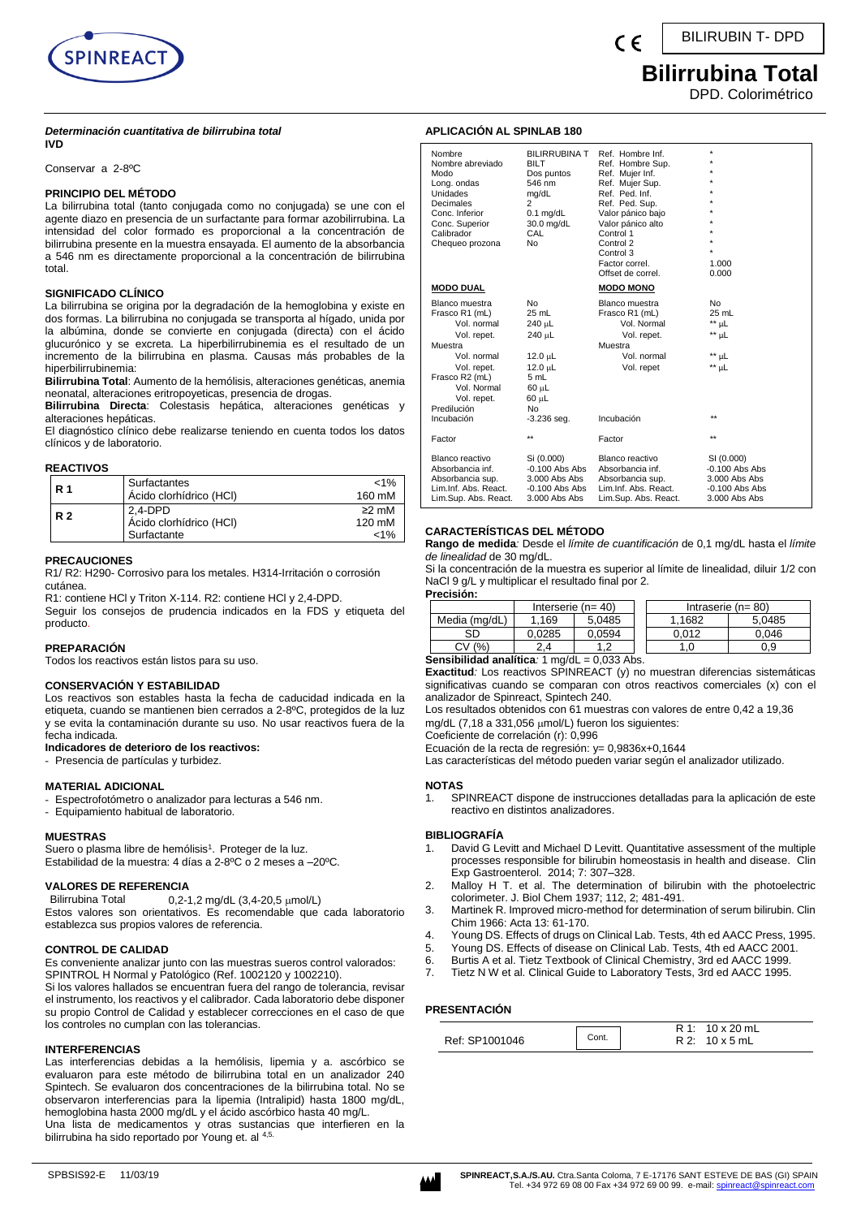

## **Bilirrubina Total**

DPD. Colorimétrico

#### *Determinación cuantitativa de bilirrubina total* **IVD**

Conservar a 2-8ºC

### **PRINCIPIO DEL MÉTODO**

La bilirrubina total (tanto conjugada como no conjugada) se une con el agente diazo en presencia de un surfactante para formar azobilirrubina. La intensidad del color formado es proporcional a la concentración de bilirrubina presente en la muestra ensayada. El aumento de la absorbancia a 546 nm es directamente proporcional a la concentración de bilirrubina total.

## **SIGNIFICADO CLÍNICO**

La bilirrubina se origina por la degradación de la hemoglobina y existe en dos formas. La bilirrubina no conjugada se transporta al hígado, unida por la albúmina, donde se convierte en conjugada (directa) con el ácido glucurónico y se excreta. La hiperbilirrubinemia es el resultado de un incremento de la bilirrubina en plasma. Causas más probables de la hiperbilirrubinemia:

**Bilirrubina Total**: Aumento de la hemólisis, alteraciones genéticas, anemia neonatal, alteraciones eritropoyeticas, presencia de drogas.

**Bilirrubina Directa**: Colestasis hepática, alteraciones genéticas y alteraciones hepáticas.

El diagnóstico clínico debe realizarse teniendo en cuenta todos los datos clínicos y de laboratorio.

## **REACTIVOS**

| R 1            | Surfactantes<br>Ácido clorhídrico (HCI)             | $< 1\%$<br>160 mM          |
|----------------|-----------------------------------------------------|----------------------------|
| R <sub>2</sub> | $2.4-DPD$<br>Acido clorhídrico (HCI)<br>Surfactante | $\geq$ mM<br>120 mM<br>1%> |

**PRECAUCIONES**

R1/ R2: H290- Corrosivo para los metales. H314-Irritación o corrosión cutánea.

R1: contiene HCl y Triton X-114, R2: contiene HCl y 2,4-DPD.

Seguir los consejos de prudencia indicados en la FDS y etiqueta del producto.

## **PREPARACIÓN**

Todos los reactivos están listos para su uso.

#### **CONSERVACIÓN Y ESTABILIDAD**

Los reactivos son estables hasta la fecha de caducidad indicada en la etiqueta, cuando se mantienen bien cerrados a 2-8ºC, protegidos de la luz y se evita la contaminación durante su uso. No usar reactivos fuera de la fecha indicada.

#### **Indicadores de deterioro de los reactivos:**

- Presencia de partículas y turbidez.

#### **MATERIAL ADICIONAL**

- Espectrofotómetro o analizador para lecturas a 546 nm.

- Equipamiento habitual de laboratorio.

#### **MUESTRAS**

Suero o plasma libre de hemólisis<sup>1</sup>. Proteger de la luz. Estabilidad de la muestra: 4 días a 2-8°C o 2 meses a -20°C.

#### **VALORES DE REFERENCIA**

Bilirrubina Total  $0,2-1,2$  mg/dL  $(3,4-20,5 \mu \text{mol/L})$ 

Estos valores son orientativos. Es recomendable que cada laboratorio establezca sus propios valores de referencia.

## **CONTROL DE CALIDAD**

Es conveniente analizar junto con las muestras sueros control valorados: SPINTROL H Normal y Patológico (Ref. 1002120 y 1002210).

Si los valores hallados se encuentran fuera del rango de tolerancia, revisar el instrumento, los reactivos y el calibrador. Cada laboratorio debe disponer su propio Control de Calidad y establecer correcciones en el caso de que los controles no cumplan con las tolerancias.

#### **INTERFERENCIAS**

Las interferencias debidas a la hemólisis, lipemia y a. ascórbico se evaluaron para este método de bilirrubina total en un analizador 240 Spintech. Se evaluaron dos concentraciones de la bilirrubina total. No se observaron interferencias para la lipemia (Intralipid) hasta 1800 mg/dL, hemoglobina hasta 2000 mg/dL y el ácido ascórbico hasta 40 mg/L. Una lista de medicamentos y otras sustancias que interfieren en la bilirrubina ha sido reportado por Young et. al <sup>4,5.</sup>

| Nombre<br>Nombre abreviado<br>Modo<br>Long. ondas<br>Unidades<br>Decimales<br>Conc. Inferior<br>Conc. Superior<br>Calibrador<br>Chequeo prozona                                      | <b>BILIRRUBINA T</b><br><b>BILT</b><br>Dos puntos<br>546 nm<br>mg/dL<br>$\overline{c}$<br>$0.1$ mg/dL<br>30.0 mg/dL<br>CAL<br>No | Ref. Hombre Inf.<br>Ref. Hombre Sup.<br>Ref. Mujer Inf.<br>Ref. Mujer Sup.<br>Ref. Ped. Inf.<br>Ref. Ped. Sup.<br>Valor pánico bajo<br>Valor pánico alto<br>Control 1<br>Control 2<br>Control 3<br>Factor correl.<br>Offset de correl. | $\star$<br>1.000<br>0.000                                                            |
|--------------------------------------------------------------------------------------------------------------------------------------------------------------------------------------|----------------------------------------------------------------------------------------------------------------------------------|----------------------------------------------------------------------------------------------------------------------------------------------------------------------------------------------------------------------------------------|--------------------------------------------------------------------------------------|
| <b>MODO DUAL</b>                                                                                                                                                                     |                                                                                                                                  | <b>MODO MONO</b>                                                                                                                                                                                                                       |                                                                                      |
| Blanco muestra<br>Frasco R1 (mL)<br>Vol. normal<br>Vol. repet.<br>Muestra<br>Vol. normal<br>Vol. repet.<br>Frasco R2 (mL)<br>Vol. Normal<br>Vol. repet.<br>Predilución<br>Incubación | No<br>25 mL<br>240 µL<br>240 uL<br>$12.0 \mu L$<br>$12.0 \mu L$<br>5 mL<br>60 µL<br>60 µL<br>No<br>$-3.236$ seq.                 | Blanco muestra<br>Frasco R1 (mL)<br>Vol. Normal<br>Vol. repet.<br>Muestra<br>Vol. normal<br>Vol. repet<br>Incubación                                                                                                                   | N <sub>o</sub><br>25 mL<br>** uL<br>$**$ µL<br>** µL<br>$**$ µL<br>$**$              |
| Factor                                                                                                                                                                               | $\star\star$                                                                                                                     | Factor                                                                                                                                                                                                                                 | $\star\star$                                                                         |
| Blanco reactivo<br>Absorbancia inf.<br>Absorbancia sup.<br>Lim.Inf. Abs. React.<br>Lim.Sup. Abs. React.                                                                              | Si (0.000)<br>$-0.100$ Abs Abs<br>$3.000$ Abs Abs<br>$-0.100$ Abs Abs<br>3.000 Abs Abs                                           | Blanco reactivo<br>Absorbancia inf.<br>Absorbancia sup.<br>Lim.Inf. Abs. React.<br>Lim.Sup. Abs. React.                                                                                                                                | SI (0.000)<br>$-0.100$ Abs Abs<br>3.000 Abs Abs<br>$-0.100$ Abs Abs<br>3.000 Abs Abs |

## **CARACTERÍSTICAS DEL MÉTODO**

**APLICACIÓN AL SPINLAB 180**

**Rango de medida***:* Desde el *límite de cuantificación* de 0,1 mg/dL hasta el *límite de linealidad* de 30 mg/dL.

Si la concentración de la muestra es superior al límite de linealidad, diluir 1/2 con NaCl 9 g/L y multiplicar el resultado final por 2.

| Precisión: |
|------------|
|------------|

|                                                     | Interserie ( $n = 40$ ) |        |  | Intraserie $(n=80)$ |        |
|-----------------------------------------------------|-------------------------|--------|--|---------------------|--------|
| Media (mg/dL)                                       | 1.169                   | 5.0485 |  | 1.1682              | 5.0485 |
| SD                                                  | 0.0285                  | 0.0594 |  | 0.012               | 0.046  |
| CV(%)                                               | 2.4                     |        |  |                     | ა.9    |
| <b>Sensibilidad analítica:</b> 1 mg/dl $-0.033$ Abs |                         |        |  |                     |        |

**Sensibilidad analítica***:* 1 mg/dL = 0,033 Abs.

**Exactitud***:* Los reactivos SPINREACT (y) no muestran diferencias sistemáticas significativas cuando se comparan con otros reactivos comerciales (x) con el analizador de Spinreact, Spintech 240.

Los resultados obtenidos con 61 muestras con valores de entre 0,42 a 19,36 mg/dL  $(7, 18$  a 331,056  $\mu$ mol/L) fueron los siguientes:

Coeficiente de correlación (r): 0,996

Ecuación de la recta de regresión: y= 0,9836x+0,1644

Las características del método pueden variar según el analizador utilizado.

#### **NOTAS**

1. SPINREACT dispone de instrucciones detalladas para la aplicación de este reactivo en distintos analizadores.

#### **BIBLIOGRAFÍA**

- David G Levitt and Michael D Levitt. Quantitative assessment of the multiple processes responsible for bilirubin homeostasis in health and disease. Clin Exp Gastroenterol. 2014; 7: 307–328.
- 2. Malloy H T. et al. The determination of bilirubin with the photoelectric colorimeter. J. Biol Chem 1937; 112, 2; 481-491.
- 3. Martinek R. Improved micro-method for determination of serum bilirubin. Clin Chim 1966: Acta 13: 61-170.
- 4. Young DS. Effects of drugs on Clinical Lab. Tests, 4th ed AACC Press, 1995.
- 5. Young DS. Effects of disease on Clinical Lab. Tests, 4th ed AACC 2001.
- 6. Burtis A et al. Tietz Textbook of Clinical Chemistry, 3rd ed AACC 1999.
- Tietz N W et al. Clinical Guide to Laboratory Tests, 3rd ed AACC 1995.

## **PRESENTACIÓN**

| Ref: SP1001046 | Cont. | $10 \times 20$ mL<br>$R_1$<br>$10 \times 5$ mL |
|----------------|-------|------------------------------------------------|
|----------------|-------|------------------------------------------------|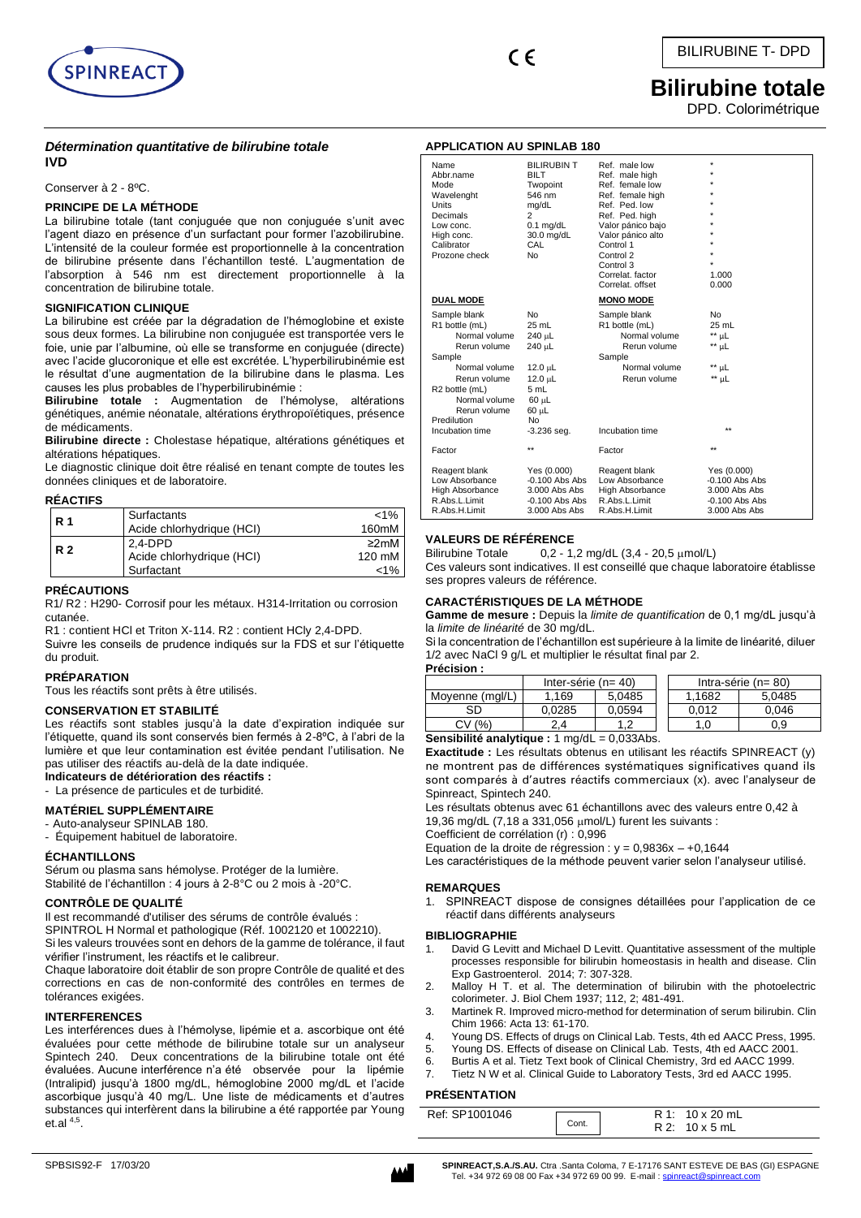

# **Bilirubine totale**

DPD. Colorimétrique

## *Détermination quantitative de bilirubine totale* **IVD**

Conserver à 2 - 8ºC.

## **PRINCIPE DE LA MÉTHODE**

La bilirubine totale (tant conjuguée que non conjuguée s'unit avec l'agent diazo en présence d'un surfactant pour former l'azobilirubine. L'intensité de la couleur formée est proportionnelle à la concentration de bilirubine présente dans l'échantillon testé. L'augmentation de l'absorption à 546 nm est directement proportionnelle à la concentration de bilirubine totale.

## **SIGNIFICATION CLINIQUE**

La bilirubine est créée par la dégradation de l'hémoglobine et existe sous deux formes. La bilirubine non conjuguée est transportée vers le foie, unie par l'albumine, où elle se transforme en conjuguée (directe) avec l'acide glucoronique et elle est excrétée. L'hyperbilirubinémie est le résultat d'une augmentation de la bilirubine dans le plasma. Les causes les plus probables de l'hyperbilirubinémie :

**Bilirubine totale :** Augmentation de l'hémolyse, altérations génétiques, anémie néonatale, altérations érythropoïétiques, présence de médicaments.

**Bilirubine directe :** Cholestase hépatique, altérations génétiques et altérations hépatiques.

Le diagnostic clinique doit être réalisé en tenant compte de toutes les données cliniques et de laboratoire.

## **RÉACTIFS**

| <b>R</b> 1 | Surfactants<br>Acide chlorhydrique (HCI) | $< 1\%$<br>160mM |
|------------|------------------------------------------|------------------|
| <b>R2</b>  | 2.4-DPD                                  | $\geq 2$ mM      |
|            | Acide chlorhydrique (HCI)                | 120 mM           |
|            | Surfactant                               | $1\%$            |

## **PRÉCAUTIONS**

R1/ R2 : H290- Corrosif pour les métaux. H314-Irritation ou corrosion cutanée.

R1 : contient HCl et Triton X-114. R2 : contient HCly 2,4-DPD.

Suivre les conseils de prudence indiqués sur la FDS et sur l'étiquette du produit.

## **PRÉPARATION**

Tous les réactifs sont prêts à être utilisés.

## **CONSERVATION ET STABILITÉ**

Les réactifs sont stables jusqu'à la date d'expiration indiquée sur l'étiquette, quand ils sont conservés bien fermés à 2-8ºC, à l'abri de la lumière et que leur contamination est évitée pendant l'utilisation. Ne pas utiliser des réactifs au-delà de la date indiquée.

## **Indicateurs de détérioration des réactifs :**

- La présence de particules et de turbidité.

## **MATÉRIEL SUPPLÉMENTAIRE**

- Auto-analyseur SPINLAB 180.

- Équipement habituel de laboratoire.

## **ÉCHANTILLONS**

Sérum ou plasma sans hémolyse. Protéger de la lumière. Stabilité de l'échantillon : 4 jours à 2-8°C ou 2 mois à -20°C.

## **CONTRÔLE DE QUALITÉ**

Il est recommandé d'utiliser des sérums de contrôle évalués :

SPINTROL H Normal et pathologique (Réf. 1002120 et 1002210).

Si les valeurs trouvées sont en dehors de la gamme de tolérance, il faut vérifier l'instrument, les réactifs et le calibreur.

Chaque laboratoire doit établir de son propre Contrôle de qualité et des corrections en cas de non-conformité des contrôles en termes de tolérances exigées.

## **INTERFERENCES**

Les interférences dues à l'hémolyse, lipémie et a. ascorbique ont été évaluées pour cette méthode de bilirubine totale sur un analyseur Spintech 240. Deux concentrations de la bilirubine totale ont été évaluées. Aucune interférence n'a été observée pour la lipémie (Intralipid) jusqu'à 1800 mg/dL, hémoglobine 2000 mg/dL et l'acide ascorbique jusqu'à 40 mg/L. Une liste de médicaments et d'autres substances qui interfèrent dans la bilirubine a été rapportée par Young et.al  $4,5$ .

## **APPLICATION AU SPINLAB 180**

| Name<br>Abbr.name<br>Mode<br>Wavelenght<br><b>Units</b><br>Decimals<br>Low conc.<br>High conc.<br>Calibrator<br>Prozone check                                                                   | <b>BILIRUBIN T</b><br><b>BILT</b><br>Twopoint<br>546 nm<br>mg/dL<br>$\overline{2}$<br>$0.1$ mg/dL<br>30.0 mg/dL<br>CAL<br>No | Ref. male low<br>Ref. male high<br>Ref. female low<br>Ref. female high<br>Ref. Ped. low<br>Ref. Ped. high<br>Valor pánico bajo<br>Valor pánico alto<br>Control 1<br>Control 2<br>Control 3<br>Correlat, factor<br>Correlat, offset | $\star$<br>÷<br>÷<br>1.000<br>0.000                                                     |
|-------------------------------------------------------------------------------------------------------------------------------------------------------------------------------------------------|------------------------------------------------------------------------------------------------------------------------------|------------------------------------------------------------------------------------------------------------------------------------------------------------------------------------------------------------------------------------|-----------------------------------------------------------------------------------------|
| <b>DUAL MODE</b>                                                                                                                                                                                |                                                                                                                              | <b>MONO MODE</b>                                                                                                                                                                                                                   |                                                                                         |
| Sample blank<br>R1 bottle (mL)<br>Normal volume<br>Rerun volume<br>Sample<br>Normal volume<br>Rerun volume<br>R2 bottle (mL)<br>Normal volume<br>Rerun volume<br>Predilution<br>Incubation time | No<br>$25$ mL<br>240 µL<br>240 uL<br>$12.0 \mu L$<br>12.0 µL<br>5 mL<br>60 µL<br>$60 \mu L$<br><b>No</b><br>$-3.236$ seq.    | Sample blank<br>R1 bottle (mL)<br>Normal volume<br>Rerun volume<br>Sample<br>Normal volume<br>Rerun volume<br>Incubation time                                                                                                      | <b>No</b><br>$25$ mL<br>$**$ µL<br>$**$ µL<br>$**$ µL<br>$**$ µL<br>$\star\star$        |
| Factor                                                                                                                                                                                          | $\star\star$                                                                                                                 | Factor                                                                                                                                                                                                                             | $\star\star$                                                                            |
| Reagent blank<br>Low Absorbance<br>High Absorbance<br>R.Abs.L.Limit<br>R.Abs.H.Limit                                                                                                            | Yes (0.000)<br>$-0.100$ Abs Abs<br>3.000 Abs Abs<br>$-0.100$ Abs Abs<br>3.000 Abs Abs                                        | Reagent blank<br>Low Absorbance<br>High Absorbance<br>R.Abs.L.Limit<br>R.Abs.H.Limit                                                                                                                                               | Yes (0.000)<br>$-0.100$ Abs Abs<br>$3.000$ Abs Abs<br>$-0.100$ Abs Abs<br>3.000 Abs Abs |

## **VALEURS DE RÉFÉRENCE**

Bilirubine Totale  $0,2 - 1,2$  mg/dL  $(3,4 - 20,5 \mu \text{mol/L})$ 

Ces valeurs sont indicatives. Il est conseillé que chaque laboratoire établisse ses propres valeurs de référence.

## **CARACTÉRISTIQUES DE LA MÉTHODE**

**Gamme de mesure :** Depuis la *limite de quantification* de 0,1 mg/dL jusqu'à la *limite de linéarité* de 30 mg/dL.

Si la concentration de l'échantillon est supérieure à la limite de linéarité, diluer 1/2 avec NaCl 9 g/L et multiplier le résultat final par 2.

| <b>Précision:</b> |  |  |  |
|-------------------|--|--|--|
|                   |  |  |  |

|                                                                | Inter-série ( $n = 40$ ) |        | Intra-série ( $n = 80$ ) |        |        |
|----------------------------------------------------------------|--------------------------|--------|--------------------------|--------|--------|
| Moyenne (mgl/L)                                                | 1.169                    | 5.0485 |                          | 1.1682 | 5,0485 |
| SD                                                             | 0.0285                   | 0.0594 |                          | 0.012  | 0.046  |
| CV(% )<br>1.0<br>1.2<br>0.9<br>2.4                             |                          |        |                          |        |        |
| Sensibilité analytique : $1 \text{ mg/dL} = 0.033 \text{Abs}.$ |                          |        |                          |        |        |

**Exactitude** : Les résultats obtenus en utilisant les réactifs SPINREACT (y) ne montrent pas de différences systématiques significatives quand ils sont comparés à d'autres réactifs commerciaux (x). avec l'analyseur de Spinreact, Spintech 240.

Les résultats obtenus avec 61 échantillons avec des valeurs entre 0,42 à 19,36 mg/dL (7,18 a 331,056 umol/L) furent les suivants :

Coefficient de corrélation (r) : 0,996

Equation de la droite de régression :  $y = 0.9836x - 0.1644$ 

Les caractéristiques de la méthode peuvent varier selon l'analyseur utilisé.

## **REMARQUES**

1. SPINREACT dispose de consignes détaillées pour l'application de ce réactif dans différents analyseurs

#### **BIBLIOGRAPHIE**

- David G Levitt and Michael D Levitt. Quantitative assessment of the multiple processes responsible for bilirubin homeostasis in health and disease. Clin Exp Gastroenterol. 2014; 7: 307-328.
- 2. Malloy H T. et al. The determination of bilirubin with the photoelectric colorimeter. J. Biol Chem 1937; 112, 2; 481-491.
- 3. Martinek R. Improved micro-method for determination of serum bilirubin. Clin Chim 1966: Acta 13: 61-170.
- 4. Young DS. Effects of drugs on Clinical Lab. Tests, 4th ed AACC Press, 1995.
- 5. Young DS. Effects of disease on Clinical Lab. Tests, 4th ed AACC 2001.
- 6. Burtis A et al. Tietz Text book of Clinical Chemistry, 3rd ed AACC 1999.
- 7. Tietz N W et al. Clinical Guide to Laboratory Tests, 3rd ed AACC 1995.

## **PRÉSENTATION**

| Ref: SP1001046 |       | $R1: 10 \times 20$ mL |
|----------------|-------|-----------------------|
|                | Cont. | $R2: 10 \times 5$ mL  |